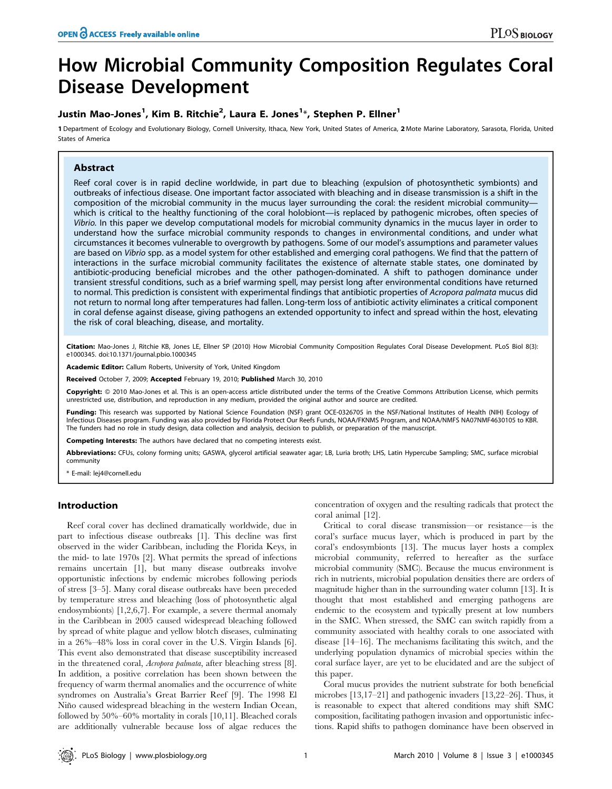# How Microbial Community Composition Regulates Coral Disease Development

# Justin Mao-Jones<sup>1</sup>, Kim B. Ritchie<sup>2</sup>, Laura E. Jones<sup>1</sup>\*, Stephen P. Ellner<sup>1</sup>

1 Department of Ecology and Evolutionary Biology, Cornell University, Ithaca, New York, United States of America, 2 Mote Marine Laboratory, Sarasota, Florida, United States of America

# Abstract

Reef coral cover is in rapid decline worldwide, in part due to bleaching (expulsion of photosynthetic symbionts) and outbreaks of infectious disease. One important factor associated with bleaching and in disease transmission is a shift in the composition of the microbial community in the mucus layer surrounding the coral: the resident microbial communitywhich is critical to the healthy functioning of the coral holobiont—is replaced by pathogenic microbes, often species of Vibrio. In this paper we develop computational models for microbial community dynamics in the mucus layer in order to understand how the surface microbial community responds to changes in environmental conditions, and under what circumstances it becomes vulnerable to overgrowth by pathogens. Some of our model's assumptions and parameter values are based on Vibrio spp. as a model system for other established and emerging coral pathogens. We find that the pattern of interactions in the surface microbial community facilitates the existence of alternate stable states, one dominated by antibiotic-producing beneficial microbes and the other pathogen-dominated. A shift to pathogen dominance under transient stressful conditions, such as a brief warming spell, may persist long after environmental conditions have returned to normal. This prediction is consistent with experimental findings that antibiotic properties of Acropora palmata mucus did not return to normal long after temperatures had fallen. Long-term loss of antibiotic activity eliminates a critical component in coral defense against disease, giving pathogens an extended opportunity to infect and spread within the host, elevating the risk of coral bleaching, disease, and mortality.

Citation: Mao-Jones J, Ritchie KB, Jones LE, Ellner SP (2010) How Microbial Community Composition Regulates Coral Disease Development. PLoS Biol 8(3): e1000345. doi:10.1371/journal.pbio.1000345

Academic Editor: Callum Roberts, University of York, United Kingdom

Received October 7, 2009; Accepted February 19, 2010; Published March 30, 2010

Copyright: © 2010 Mao-Jones et al. This is an open-access article distributed under the terms of the Creative Commons Attribution License, which permits unrestricted use, distribution, and reproduction in any medium, provided the original author and source are credited.

Funding: This research was supported by National Science Foundation (NSF) grant OCE-0326705 in the NSF/National Institutes of Health (NIH) Ecology of Infectious Diseases program. Funding was also provided by Florida Protect Our Reefs Funds, NOAA/FKNMS Program, and NOAA/NMFS NA07NMF4630105 to KBR. The funders had no role in study design, data collection and analysis, decision to publish, or preparation of the manuscript.

Competing Interests: The authors have declared that no competing interests exist.

Abbreviations: CFUs, colony forming units; GASWA, glycerol artificial seawater agar; LB, Luria broth; LHS, Latin Hypercube Sampling; SMC, surface microbial community

E-mail: lej4@cornell.edu

# Introduction

Reef coral cover has declined dramatically worldwide, due in part to infectious disease outbreaks [1]. This decline was first observed in the wider Caribbean, including the Florida Keys, in the mid- to late 1970s [2]. What permits the spread of infections remains uncertain [1], but many disease outbreaks involve opportunistic infections by endemic microbes following periods of stress [3–5]. Many coral disease outbreaks have been preceded by temperature stress and bleaching (loss of photosynthetic algal endosymbionts) [1,2,6,7]. For example, a severe thermal anomaly in the Caribbean in 2005 caused widespread bleaching followed by spread of white plague and yellow blotch diseases, culminating in a 26%–48% loss in coral cover in the U.S. Virgin Islands [6]. This event also demonstrated that disease susceptibility increased in the threatened coral, Acropora palmata, after bleaching stress [8]. In addition, a positive correlation has been shown between the frequency of warm thermal anomalies and the occurrence of white syndromes on Australia's Great Barrier Reef [9]. The 1998 El Niño caused widespread bleaching in the western Indian Ocean, followed by 50%–60% mortality in corals [10,11]. Bleached corals are additionally vulnerable because loss of algae reduces the concentration of oxygen and the resulting radicals that protect the coral animal [12].

Critical to coral disease transmission—or resistance—is the coral's surface mucus layer, which is produced in part by the coral's endosymbionts [13]. The mucus layer hosts a complex microbial community, referred to hereafter as the surface microbial community (SMC). Because the mucus environment is rich in nutrients, microbial population densities there are orders of magnitude higher than in the surrounding water column [13]. It is thought that most established and emerging pathogens are endemic to the ecosystem and typically present at low numbers in the SMC. When stressed, the SMC can switch rapidly from a community associated with healthy corals to one associated with disease [14–16]. The mechanisms facilitating this switch, and the underlying population dynamics of microbial species within the coral surface layer, are yet to be elucidated and are the subject of this paper.

Coral mucus provides the nutrient substrate for both beneficial microbes [13,17–21] and pathogenic invaders [13,22–26]. Thus, it is reasonable to expect that altered conditions may shift SMC composition, facilitating pathogen invasion and opportunistic infections. Rapid shifts to pathogen dominance have been observed in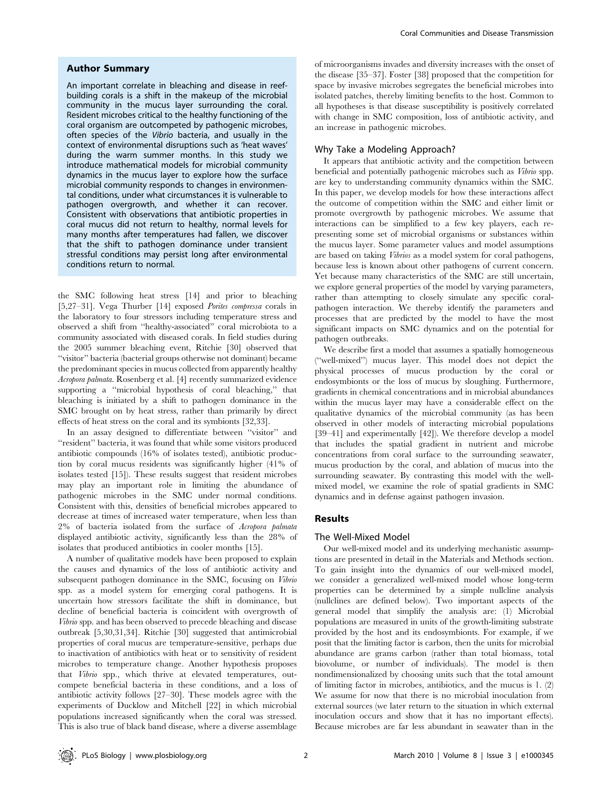#### Author Summary

An important correlate in bleaching and disease in reefbuilding corals is a shift in the makeup of the microbial community in the mucus layer surrounding the coral. Resident microbes critical to the healthy functioning of the coral organism are outcompeted by pathogenic microbes, often species of the Vibrio bacteria, and usually in the context of environmental disruptions such as 'heat waves' during the warm summer months. In this study we introduce mathematical models for microbial community dynamics in the mucus layer to explore how the surface microbial community responds to changes in environmental conditions, under what circumstances it is vulnerable to pathogen overgrowth, and whether it can recover. Consistent with observations that antibiotic properties in coral mucus did not return to healthy, normal levels for many months after temperatures had fallen, we discover that the shift to pathogen dominance under transient stressful conditions may persist long after environmental conditions return to normal.

the SMC following heat stress [14] and prior to bleaching [5,27–31]. Vega Thurber [14] exposed Porites compressa corals in the laboratory to four stressors including temperature stress and observed a shift from ''healthy-associated'' coral microbiota to a community associated with diseased corals. In field studies during the 2005 summer bleaching event, Ritchie [30] observed that ''visitor'' bacteria (bacterial groups otherwise not dominant) became the predominant species in mucus collected from apparently healthy Acropora palmata. Rosenberg et al. [4] recently summarized evidence supporting a ''microbial hypothesis of coral bleaching,'' that bleaching is initiated by a shift to pathogen dominance in the SMC brought on by heat stress, rather than primarily by direct effects of heat stress on the coral and its symbionts [32,33].

In an assay designed to differentiate between ''visitor'' and "resident" bacteria, it was found that while some visitors produced antibiotic compounds (16% of isolates tested), antibiotic production by coral mucus residents was significantly higher (41% of isolates tested [15]). These results suggest that resident microbes may play an important role in limiting the abundance of pathogenic microbes in the SMC under normal conditions. Consistent with this, densities of beneficial microbes appeared to decrease at times of increased water temperature, when less than 2% of bacteria isolated from the surface of Acropora palmata displayed antibiotic activity, significantly less than the 28% of isolates that produced antibiotics in cooler months [15].

A number of qualitative models have been proposed to explain the causes and dynamics of the loss of antibiotic activity and subsequent pathogen dominance in the SMC, focusing on Vibrio spp. as a model system for emerging coral pathogens. It is uncertain how stressors facilitate the shift in dominance, but decline of beneficial bacteria is coincident with overgrowth of Vibrio spp. and has been observed to precede bleaching and disease outbreak [5,30,31,34]. Ritchie [30] suggested that antimicrobial properties of coral mucus are temperature-sensitive, perhaps due to inactivation of antibiotics with heat or to sensitivity of resident microbes to temperature change. Another hypothesis proposes that Vibrio spp., which thrive at elevated temperatures, outcompete beneficial bacteria in these conditions, and a loss of antibiotic activity follows [27–30]. These models agree with the experiments of Ducklow and Mitchell [22] in which microbial populations increased significantly when the coral was stressed. This is also true of black band disease, where a diverse assemblage

of microorganisms invades and diversity increases with the onset of the disease [35–37]. Foster [38] proposed that the competition for space by invasive microbes segregates the beneficial microbes into isolated patches, thereby limiting benefits to the host. Common to all hypotheses is that disease susceptibility is positively correlated with change in SMC composition, loss of antibiotic activity, and an increase in pathogenic microbes.

#### Why Take a Modeling Approach?

It appears that antibiotic activity and the competition between beneficial and potentially pathogenic microbes such as Vibrio spp. are key to understanding community dynamics within the SMC. In this paper, we develop models for how these interactions affect the outcome of competition within the SMC and either limit or promote overgrowth by pathogenic microbes. We assume that interactions can be simplified to a few key players, each representing some set of microbial organisms or substances within the mucus layer. Some parameter values and model assumptions are based on taking Vibrios as a model system for coral pathogens, because less is known about other pathogens of current concern. Yet because many characteristics of the SMC are still uncertain, we explore general properties of the model by varying parameters, rather than attempting to closely simulate any specific coralpathogen interaction. We thereby identify the parameters and processes that are predicted by the model to have the most significant impacts on SMC dynamics and on the potential for pathogen outbreaks.

We describe first a model that assumes a spatially homogeneous (''well-mixed'') mucus layer. This model does not depict the physical processes of mucus production by the coral or endosymbionts or the loss of mucus by sloughing. Furthermore, gradients in chemical concentrations and in microbial abundances within the mucus layer may have a considerable effect on the qualitative dynamics of the microbial community (as has been observed in other models of interacting microbial populations [39–41] and experimentally [42]). We therefore develop a model that includes the spatial gradient in nutrient and microbe concentrations from coral surface to the surrounding seawater, mucus production by the coral, and ablation of mucus into the surrounding seawater. By contrasting this model with the wellmixed model, we examine the role of spatial gradients in SMC dynamics and in defense against pathogen invasion.

#### Results

#### The Well-Mixed Model

Our well-mixed model and its underlying mechanistic assumptions are presented in detail in the Materials and Methods section. To gain insight into the dynamics of our well-mixed model, we consider a generalized well-mixed model whose long-term properties can be determined by a simple nullcline analysis (nullclines are defined below). Two important aspects of the general model that simplify the analysis are: (1) Microbial populations are measured in units of the growth-limiting substrate provided by the host and its endosymbionts. For example, if we posit that the limiting factor is carbon, then the units for microbial abundance are grams carbon (rather than total biomass, total biovolume, or number of individuals). The model is then nondimensionalized by choosing units such that the total amount of limiting factor in microbes, antibiotics, and the mucus is 1. (2) We assume for now that there is no microbial inoculation from external sources (we later return to the situation in which external inoculation occurs and show that it has no important effects). Because microbes are far less abundant in seawater than in the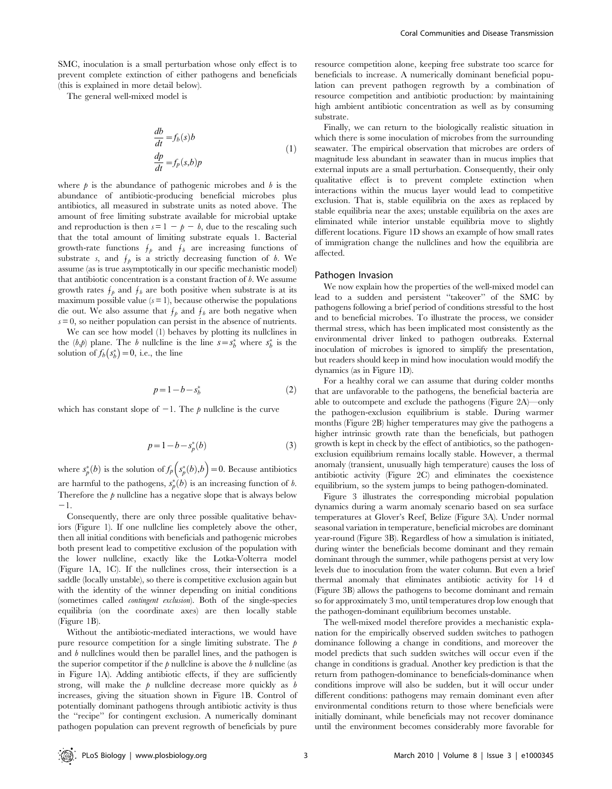SMC, inoculation is a small perturbation whose only effect is to prevent complete extinction of either pathogens and beneficials (this is explained in more detail below).

The general well-mixed model is

$$
\frac{db}{dt} = f_b(s)b
$$
  
\n
$$
\frac{dp}{dt} = f_p(s,b)p
$$
\n(1)

where  $\hat{p}$  is the abundance of pathogenic microbes and  $\hat{b}$  is the abundance of antibiotic-producing beneficial microbes plus antibiotics, all measured in substrate units as noted above. The amount of free limiting substrate available for microbial uptake and reproduction is then  $s = 1 - p - b$ , due to the rescaling such that the total amount of limiting substrate equals 1. Bacterial growth-rate functions  $f_p$  and  $f_b$  are increasing functions of substrate s, and  $f_p$  is a strictly decreasing function of b. We assume (as is true asymptotically in our specific mechanistic model) that antibiotic concentration is a constant fraction of  $b$ . We assume growth rates  $f_p$  and  $f_b$  are both positive when substrate is at its maximum possible value  $(s = 1)$ , because otherwise the populations die out. We also assume that  $f_p$  and  $f_b$  are both negative when  $s = 0$ , so neither population can persist in the absence of nutrients.

We can see how model (1) behaves by plotting its nullclines in the  $(b,p)$  plane. The b nullcline is the line  $s = s_b^*$  where  $s_b^*$  is the solution of  $f_b(s_b^*)=0$ , i.e., the line

$$
p = 1 - b - s_b^* \tag{2}
$$

which has constant slope of  $-1$ . The  $p$  nullcline is the curve

$$
p = 1 - b - s_p^*(b) \tag{3}
$$

where  $s_p^*(b)$  is the solution of  $f_p(s_p^*(b), b) = 0$ . Because antibiotics are harmful to the pathogens,  $s_p^*(b)$  is an increasing function of b. Therefore the  $p$  nullcline has a negative slope that is always below  $-1$ .

Consequently, there are only three possible qualitative behaviors (Figure 1). If one nullcline lies completely above the other, then all initial conditions with beneficials and pathogenic microbes both present lead to competitive exclusion of the population with the lower nullcline, exactly like the Lotka-Volterra model (Figure 1A, 1C). If the nullclines cross, their intersection is a saddle (locally unstable), so there is competitive exclusion again but with the identity of the winner depending on initial conditions (sometimes called contingent exclusion). Both of the single-species equilibria (on the coordinate axes) are then locally stable (Figure 1B).

Without the antibiotic-mediated interactions, we would have pure resource competition for a single limiting substrate. The  $p$ and  $b$  nullclines would then be parallel lines, and the pathogen is the superior competitor if the  $p$  nullcline is above the  $b$  nullcline (as in Figure 1A). Adding antibiotic effects, if they are sufficiently strong, will make the  $p$  nullcline decrease more quickly as  $b$ increases, giving the situation shown in Figure 1B. Control of potentially dominant pathogens through antibiotic activity is thus the ''recipe'' for contingent exclusion. A numerically dominant pathogen population can prevent regrowth of beneficials by pure

resource competition alone, keeping free substrate too scarce for beneficials to increase. A numerically dominant beneficial population can prevent pathogen regrowth by a combination of resource competition and antibiotic production: by maintaining high ambient antibiotic concentration as well as by consuming substrate.

Finally, we can return to the biologically realistic situation in which there is some inoculation of microbes from the surrounding seawater. The empirical observation that microbes are orders of magnitude less abundant in seawater than in mucus implies that external inputs are a small perturbation. Consequently, their only qualitative effect is to prevent complete extinction when interactions within the mucus layer would lead to competitive exclusion. That is, stable equilibria on the axes as replaced by stable equilibria near the axes; unstable equilibria on the axes are eliminated while interior unstable equilibria move to slightly different locations. Figure 1D shows an example of how small rates of immigration change the nullclines and how the equilibria are affected.

#### Pathogen Invasion

We now explain how the properties of the well-mixed model can lead to a sudden and persistent ''takeover'' of the SMC by pathogens following a brief period of conditions stressful to the host and to beneficial microbes. To illustrate the process, we consider thermal stress, which has been implicated most consistently as the environmental driver linked to pathogen outbreaks. External inoculation of microbes is ignored to simplify the presentation, but readers should keep in mind how inoculation would modify the dynamics (as in Figure 1D).

For a healthy coral we can assume that during colder months that are unfavorable to the pathogens, the beneficial bacteria are able to outcompete and exclude the pathogens (Figure 2A)—only the pathogen-exclusion equilibrium is stable. During warmer months (Figure 2B) higher temperatures may give the pathogens a higher intrinsic growth rate than the beneficials, but pathogen growth is kept in check by the effect of antibiotics, so the pathogenexclusion equilibrium remains locally stable. However, a thermal anomaly (transient, unusually high temperature) causes the loss of antibiotic activity (Figure 2C) and eliminates the coexistence equilibrium, so the system jumps to being pathogen-dominated.

Figure 3 illustrates the corresponding microbial population dynamics during a warm anomaly scenario based on sea surface temperatures at Glover's Reef, Belize (Figure 3A). Under normal seasonal variation in temperature, beneficial microbes are dominant year-round (Figure 3B). Regardless of how a simulation is initiated, during winter the beneficials become dominant and they remain dominant through the summer, while pathogens persist at very low levels due to inoculation from the water column. But even a brief thermal anomaly that eliminates antibiotic activity for 14 d (Figure 3B) allows the pathogens to become dominant and remain so for approximately 3 mo, until temperatures drop low enough that the pathogen-dominant equilibrium becomes unstable.

The well-mixed model therefore provides a mechanistic explanation for the empirically observed sudden switches to pathogen dominance following a change in conditions, and moreover the model predicts that such sudden switches will occur even if the change in conditions is gradual. Another key prediction is that the return from pathogen-dominance to beneficials-dominance when conditions improve will also be sudden, but it will occur under different conditions: pathogens may remain dominant even after environmental conditions return to those where beneficials were initially dominant, while beneficials may not recover dominance until the environment becomes considerably more favorable for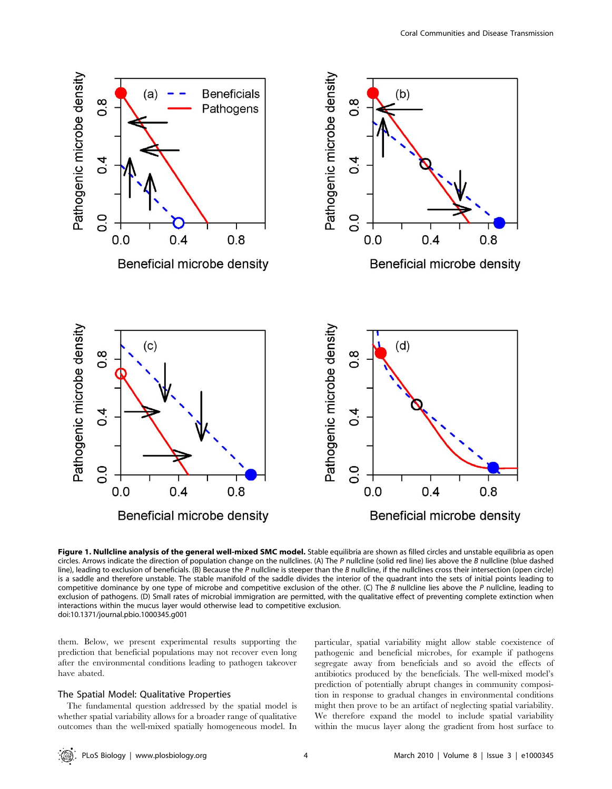

Figure 1. Nullcline analysis of the general well-mixed SMC model. Stable equilibria are shown as filled circles and unstable equilibria as open circles. Arrows indicate the direction of population change on the nullclines. (A) The P nullcline (solid red line) lies above the B nullcline (blue dashed line), leading to exclusion of beneficials. (B) Because the  $P$  nullcline is steeper than the  $B$  nullcline, if the nullclines cross their intersection (open circle) is a saddle and therefore unstable. The stable manifold of the saddle divides the interior of the quadrant into the sets of initial points leading to competitive dominance by one type of microbe and competitive exclusion of the other. (C) The B nullcline lies above the P nullcline, leading to exclusion of pathogens. (D) Small rates of microbial immigration are permitted, with the qualitative effect of preventing complete extinction when interactions within the mucus layer would otherwise lead to competitive exclusion. doi:10.1371/journal.pbio.1000345.g001

them. Below, we present experimental results supporting the prediction that beneficial populations may not recover even long after the environmental conditions leading to pathogen takeover have abated.

#### The Spatial Model: Qualitative Properties

The fundamental question addressed by the spatial model is whether spatial variability allows for a broader range of qualitative outcomes than the well-mixed spatially homogeneous model. In particular, spatial variability might allow stable coexistence of pathogenic and beneficial microbes, for example if pathogens segregate away from beneficials and so avoid the effects of antibiotics produced by the beneficials. The well-mixed model's prediction of potentially abrupt changes in community composition in response to gradual changes in environmental conditions might then prove to be an artifact of neglecting spatial variability. We therefore expand the model to include spatial variability within the mucus layer along the gradient from host surface to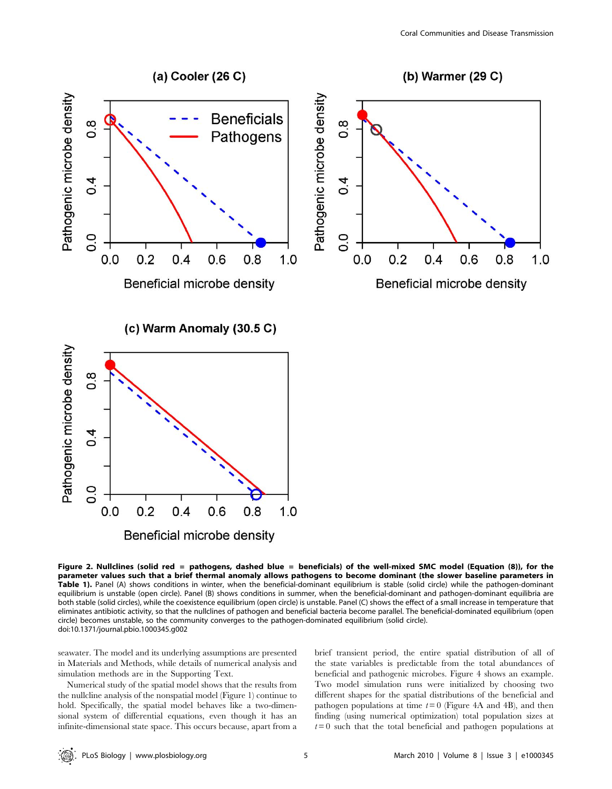

Figure 2. Nullclines (solid red = pathogens, dashed blue = beneficials) of the well-mixed SMC model (Equation (8)), for the parameter values such that a brief thermal anomaly allows pathogens to become dominant (the slower baseline parameters in Table 1). Panel (A) shows conditions in winter, when the beneficial-dominant equilibrium is stable (solid circle) while the pathogen-dominant equilibrium is unstable (open circle). Panel (B) shows conditions in summer, when the beneficial-dominant and pathogen-dominant equilibria are both stable (solid circles), while the coexistence equilibrium (open circle) is unstable. Panel (C) shows the effect of a small increase in temperature that eliminates antibiotic activity, so that the nullclines of pathogen and beneficial bacteria become parallel. The beneficial-dominated equilibrium (open circle) becomes unstable, so the community converges to the pathogen-dominated equilibrium (solid circle). doi:10.1371/journal.pbio.1000345.g002

seawater. The model and its underlying assumptions are presented in Materials and Methods, while details of numerical analysis and simulation methods are in the Supporting Text.

Numerical study of the spatial model shows that the results from the nullcline analysis of the nonspatial model (Figure 1) continue to hold. Specifically, the spatial model behaves like a two-dimensional system of differential equations, even though it has an infinite-dimensional state space. This occurs because, apart from a brief transient period, the entire spatial distribution of all of the state variables is predictable from the total abundances of beneficial and pathogenic microbes. Figure 4 shows an example. Two model simulation runs were initialized by choosing two different shapes for the spatial distributions of the beneficial and pathogen populations at time  $t=0$  (Figure 4A and 4B), and then finding (using numerical optimization) total population sizes at  $t=0$  such that the total beneficial and pathogen populations at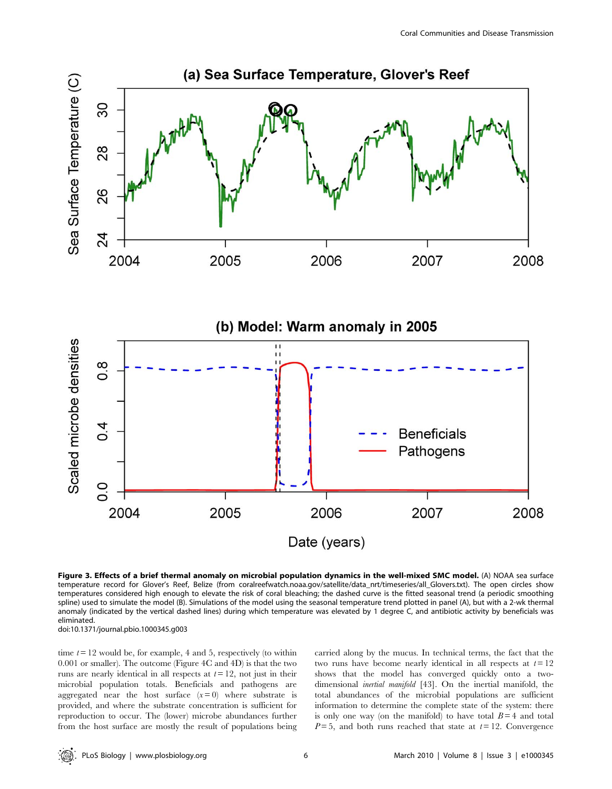

Figure 3. Effects of a brief thermal anomaly on microbial population dynamics in the well-mixed SMC model. (A) NOAA sea surface temperature record for Glover's Reef, Belize (from coralreefwatch.noaa.gov/satellite/data\_nrt/timeseries/all\_Glovers.txt). The open circles show temperatures considered high enough to elevate the risk of coral bleaching; the dashed curve is the fitted seasonal trend (a periodic smoothing spline) used to simulate the model (B). Simulations of the model using the seasonal temperature trend plotted in panel (A), but with a 2-wk thermal anomaly (indicated by the vertical dashed lines) during which temperature was elevated by 1 degree C, and antibiotic activity by beneficials was eliminated.

doi:10.1371/journal.pbio.1000345.g003

time  $t = 12$  would be, for example, 4 and 5, respectively (to within 0.001 or smaller). The outcome (Figure 4C and 4D) is that the two runs are nearly identical in all respects at  $t=12$ , not just in their microbial population totals. Beneficials and pathogens are aggregated near the host surface  $(x=0)$  where substrate is provided, and where the substrate concentration is sufficient for reproduction to occur. The (lower) microbe abundances further from the host surface are mostly the result of populations being carried along by the mucus. In technical terms, the fact that the two runs have become nearly identical in all respects at  $t=12$ shows that the model has converged quickly onto a twodimensional inertial manifold [43]. On the inertial manifold, the total abundances of the microbial populations are sufficient information to determine the complete state of the system: there is only one way (on the manifold) to have total  $B=4$  and total  $P=5$ , and both runs reached that state at  $t=12$ . Convergence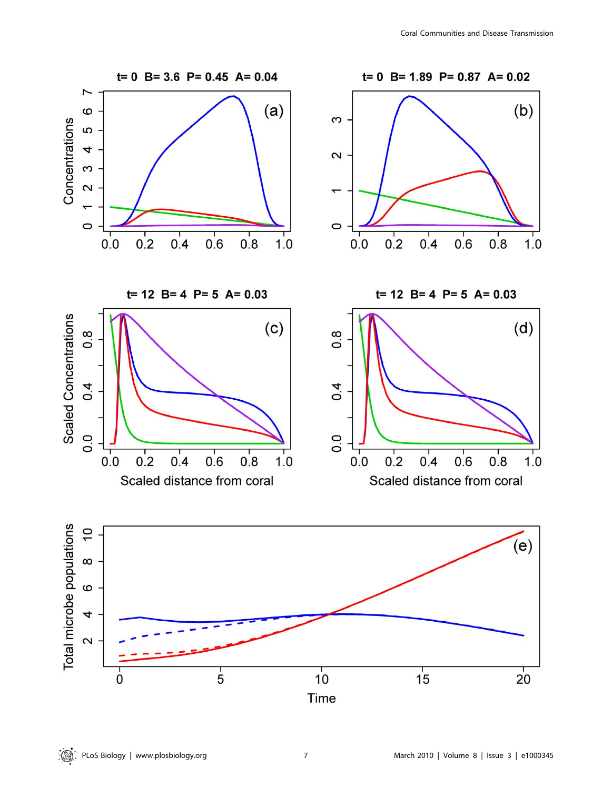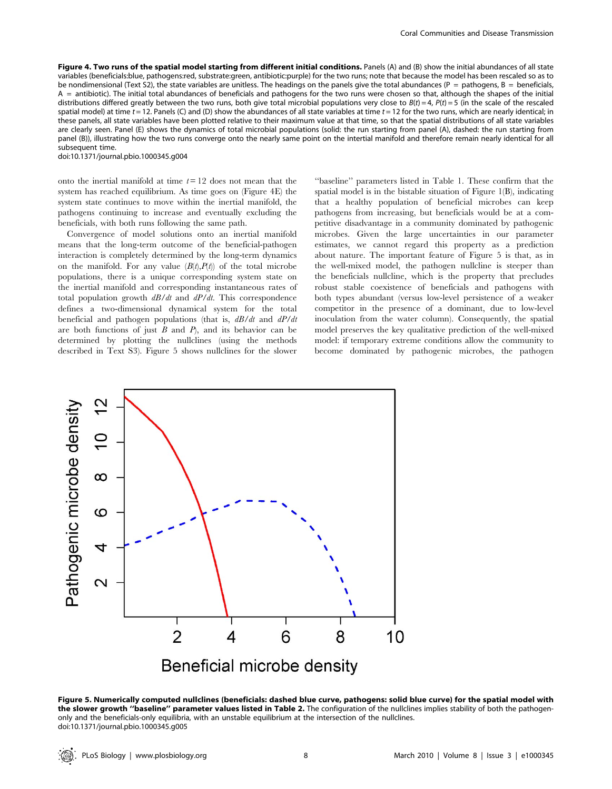Figure 4. Two runs of the spatial model starting from different initial conditions. Panels (A) and (B) show the initial abundances of all state variables (beneficials:blue, pathogens:red, substrate:green, antibiotic:purple) for the two runs; note that because the model has been rescaled so as to be nondimensional (Text S2), the state variables are unitless. The headings on the panels give the total abundances (P = pathogens, B = beneficials, A = antibiotic). The initial total abundances of beneficials and pathogens for the two runs were chosen so that, although the shapes of the initial distributions differed greatly between the two runs, both give total microbial populations very close to  $B(t) = 4$ ,  $P(t) = 5$  (in the scale of the rescaled spatial model) at time  $t = 12$ . Panels (C) and (D) show the abundances of all state variables at time  $t = 12$  for the two runs, which are nearly identical; in these panels, all state variables have been plotted relative to their maximum value at that time, so that the spatial distributions of all state variables are clearly seen. Panel (E) shows the dynamics of total microbial populations (solid: the run starting from panel (A), dashed: the run starting from panel (B)), illustrating how the two runs converge onto the nearly same point on the intertial manifold and therefore remain nearly identical for all subsequent time.

doi:10.1371/journal.pbio.1000345.g004

onto the inertial manifold at time  $t=12$  does not mean that the system has reached equilibrium. As time goes on (Figure 4E) the system state continues to move within the inertial manifold, the pathogens continuing to increase and eventually excluding the beneficials, with both runs following the same path.

Convergence of model solutions onto an inertial manifold means that the long-term outcome of the beneficial-pathogen interaction is completely determined by the long-term dynamics on the manifold. For any value  $(B(t),P(t))$  of the total microbe populations, there is a unique corresponding system state on the inertial manifold and corresponding instantaneous rates of total population growth  $dB/dt$  and  $dP/dt$ . This correspondence defines a two-dimensional dynamical system for the total beneficial and pathogen populations (that is,  $dB/dt$  and  $dP/dt$ are both functions of just  $B$  and  $P$ ), and its behavior can be determined by plotting the nullclines (using the methods described in Text S3). Figure 5 shows nullclines for the slower

''baseline'' parameters listed in Table 1. These confirm that the spatial model is in the bistable situation of Figure 1(B), indicating that a healthy population of beneficial microbes can keep pathogens from increasing, but beneficials would be at a competitive disadvantage in a community dominated by pathogenic microbes. Given the large uncertainties in our parameter estimates, we cannot regard this property as a prediction about nature. The important feature of Figure 5 is that, as in the well-mixed model, the pathogen nullcline is steeper than the beneficials nullcline, which is the property that precludes robust stable coexistence of beneficials and pathogens with both types abundant (versus low-level persistence of a weaker competitor in the presence of a dominant, due to low-level inoculation from the water column). Consequently, the spatial model preserves the key qualitative prediction of the well-mixed model: if temporary extreme conditions allow the community to become dominated by pathogenic microbes, the pathogen



Figure 5. Numerically computed nullclines (beneficials: dashed blue curve, pathogens: solid blue curve) for the spatial model with the slower growth "baseline" parameter values listed in Table 2. The configuration of the nullclines implies stability of both the pathogenonly and the beneficials-only equilibria, with an unstable equilibrium at the intersection of the nullclines. doi:10.1371/journal.pbio.1000345.g005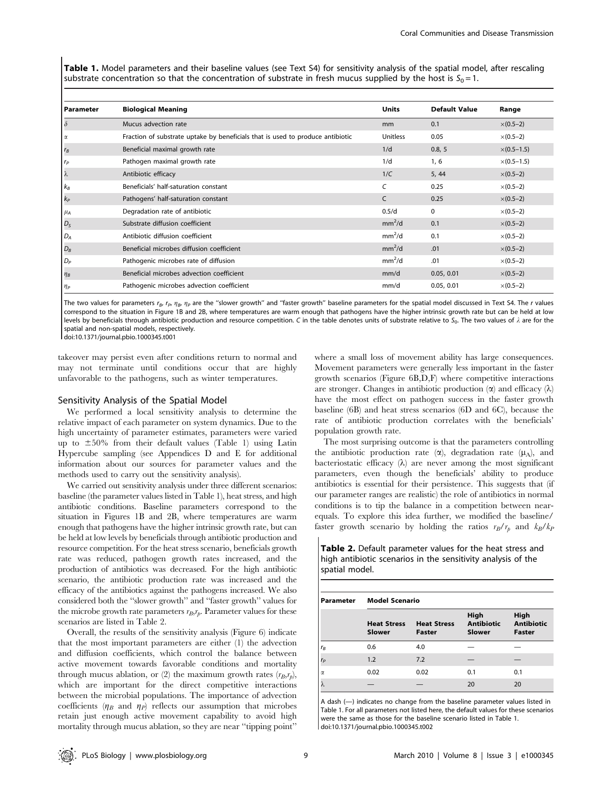Table 1. Model parameters and their baseline values (see Text S4) for sensitivity analysis of the spatial model, after rescaling substrate concentration so that the concentration of substrate in fresh mucus supplied by the host is  $S_0 = 1$ .

| <b>Parameter</b> | <b>Biological Meaning</b>                                                      | <b>Units</b>       | <b>Default Value</b> | Range                |
|------------------|--------------------------------------------------------------------------------|--------------------|----------------------|----------------------|
| $\delta$         | Mucus advection rate                                                           | mm                 | 0.1                  | $\times (0.5-2)$     |
| Ια               | Fraction of substrate uptake by beneficials that is used to produce antibiotic | Unitless           | 0.05                 | $\times$ (0.5–2)     |
| $r_B$            | Beneficial maximal growth rate                                                 | 1/d                | 0.8, 5               | $\times (0.5 - 1.5)$ |
| $r_P$            | Pathogen maximal growth rate                                                   | 1/d                | 1,6                  | $\times (0.5 - 1.5)$ |
| $\lambda$        | Antibiotic efficacy                                                            | 1/C                | 5, 44                | $\times (0.5-2)$     |
| $k_B$            | Beneficials' half-saturation constant                                          | C                  | 0.25                 | $\times$ (0.5–2)     |
| $k_P$            | Pathogens' half-saturation constant                                            | C                  | 0.25                 | $\times (0.5-2)$     |
| $\mu_A$          | Degradation rate of antibiotic                                                 | 0.5/d              | 0                    | $\times$ (0.5–2)     |
| $D_S$            | Substrate diffusion coefficient                                                | mm <sup>2</sup> /d | 0.1                  | $\times$ (0.5–2)     |
| $D_A$            | Antibiotic diffusion coefficient                                               | mm <sup>2</sup> /d | 0.1                  | $\times$ (0.5–2)     |
| $D_B$            | Beneficial microbes diffusion coefficient                                      | mm <sup>2</sup> /d | .01                  | $\times (0.5-2)$     |
| $D_P$            | Pathogenic microbes rate of diffusion                                          | mm <sup>2</sup> /d | .01                  | $\times$ (0.5–2)     |
| $\n  nB\n$       | Beneficial microbes advection coefficient                                      | mm/d               | 0.05, 0.01           | $\times (0.5-2)$     |
| $\n  nP\n$       | Pathogenic microbes advection coefficient                                      | mm/d               | 0.05, 0.01           | $\times$ (0.5–2)     |

The two values for parameters  $r_B$ ,  $r_P$ ,  $\eta_B$ ,  $\eta_P$  are the "slower growth" and "faster growth" baseline parameters for the spatial model discussed in Text S4. The r values correspond to the situation in Figure 1B and 2B, where temperatures are warm enough that pathogens have the higher intrinsic growth rate but can be held at low levels by beneficials through antibiotic production and resource competition. C in the table denotes units of substrate relative to S<sub>0</sub>. The two values of  $\lambda$  are for the spatial and non-spatial models, respectively.

doi:10.1371/journal.pbio.1000345.t001

takeover may persist even after conditions return to normal and may not terminate until conditions occur that are highly unfavorable to the pathogens, such as winter temperatures.

#### Sensitivity Analysis of the Spatial Model

We performed a local sensitivity analysis to determine the relative impact of each parameter on system dynamics. Due to the high uncertainty of parameter estimates, parameters were varied up to  $\pm 50\%$  from their default values (Table 1) using Latin Hypercube sampling (see Appendices D and E for additional information about our sources for parameter values and the methods used to carry out the sensitivity analysis).

We carried out sensitivity analysis under three different scenarios: baseline (the parameter values listed in Table 1), heat stress, and high antibiotic conditions. Baseline parameters correspond to the situation in Figures 1B and 2B, where temperatures are warm enough that pathogens have the higher intrinsic growth rate, but can be held at low levels by beneficials through antibiotic production and resource competition. For the heat stress scenario, beneficials growth rate was reduced, pathogen growth rates increased, and the production of antibiotics was decreased. For the high antibiotic scenario, the antibiotic production rate was increased and the efficacy of the antibiotics against the pathogens increased. We also considered both the ''slower growth'' and ''faster growth'' values for the microbe growth rate parameters  $r_B, r_p$ . Parameter values for these scenarios are listed in Table 2.

Overall, the results of the sensitivity analysis (Figure 6) indicate that the most important parameters are either (1) the advection and diffusion coefficients, which control the balance between active movement towards favorable conditions and mortality through mucus ablation, or (2) the maximum growth rates  $(r_B, r_p)$ , which are important for the direct competitive interactions between the microbial populations. The importance of advection coefficients ( $\eta_B$  and  $\eta_P$ ) reflects our assumption that microbes retain just enough active movement capability to avoid high mortality through mucus ablation, so they are near ''tipping point''

where a small loss of movement ability has large consequences. Movement parameters were generally less important in the faster growth scenarios (Figure 6B,D,F) where competitive interactions are stronger. Changes in antibiotic production  $(\alpha)$  and efficacy  $(\lambda)$ have the most effect on pathogen success in the faster growth baseline (6B) and heat stress scenarios (6D and 6C), because the rate of antibiotic production correlates with the beneficials' population growth rate.

The most surprising outcome is that the parameters controlling the antibiotic production rate  $(\alpha)$ , degradation rate  $(\mu_A)$ , and bacteriostatic efficacy  $(\lambda)$  are never among the most significant parameters, even though the beneficials' ability to produce antibiotics is essential for their persistence. This suggests that (if our parameter ranges are realistic) the role of antibiotics in normal conditions is to tip the balance in a competition between nearequals. To explore this idea further, we modified the baseline/ faster growth scenario by holding the ratios  $r_B/r_p$  and  $k_B/k_P$ 

Table 2. Default parameter values for the heat stress and high antibiotic scenarios in the sensitivity analysis of the spatial model.

| Parameter           | <b>Model Scenario</b>        |                                     |                                     |                                            |  |  |
|---------------------|------------------------------|-------------------------------------|-------------------------------------|--------------------------------------------|--|--|
|                     | <b>Heat Stress</b><br>Slower | <b>Heat Stress</b><br><b>Faster</b> | High<br><b>Antibiotic</b><br>Slower | High<br><b>Antibiotic</b><br><b>Faster</b> |  |  |
| $r_B$               | 0.6                          | 4.0                                 |                                     |                                            |  |  |
| $r_P$               | 1.2                          | 7.2                                 |                                     |                                            |  |  |
| $\overline{\alpha}$ | 0.02                         | 0.02                                | 0.1                                 | 0.1                                        |  |  |

 $\lambda$   $-$  20 20

A dash (—) indicates no change from the baseline parameter values listed in Table 1. For all parameters not listed here, the default values for these scenarios were the same as those for the baseline scenario listed in Table 1. doi:10.1371/journal.pbio.1000345.t002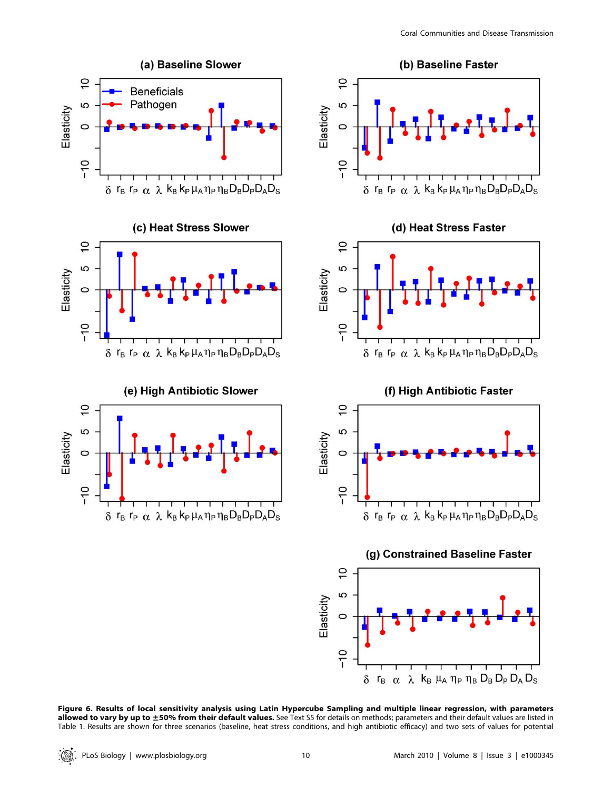

Figure 6. Results of local sensitivity analysis using Latin Hypercube Sampling and multiple linear regression, with parameters allowed to vary by up to ±50% from their default values. See Text S5 for details on methods; parameters and their default values are listed in Table 1. Results are shown for three scenarios (baseline, heat stress conditions, and high antibiotic efficacy) and two sets of values for potential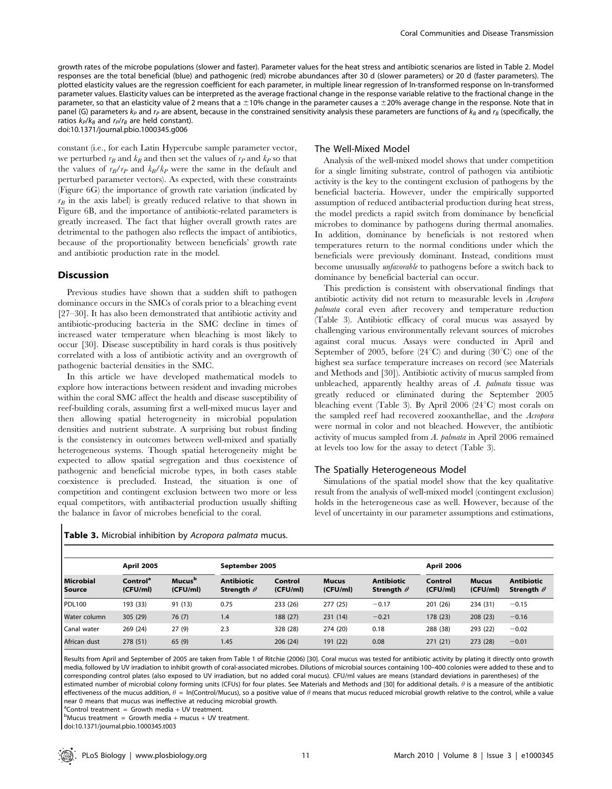growth rates of the microbe populations (slower and faster). Parameter values for the heat stress and antibiotic scenarios are listed in Table 2. Model responses are the total beneficial (blue) and pathogenic (red) microbe abundances after 30 d (slower parameters) or 20 d (faster parameters). The plotted elasticity values are the regression coefficient for each parameter, in multiple linear regression of ln-transformed response on ln-transformed parameter values. Elasticity values can be interpreted as the average fractional change in the response variable relative to the fractional change in the parameter, so that an elasticity value of 2 means that a  $\pm 10$ % change in the parameter causes a  $\pm 20$ % average change in the response. Note that in panel (G) parameters  $k_P$  and  $r_P$  are absent, because in the constrained sensitivity analysis these parameters are functions of  $k_B$  and  $r_B$  (specifically, the ratios  $k_P/k_B$  and  $r_P/r_B$  are held constant).

doi:10.1371/journal.pbio.1000345.g006

constant (i.e., for each Latin Hypercube sample parameter vector, we perturbed  $r_B$  and  $k_B$  and then set the values of  $r_P$  and  $k_P$  so that the values of  $r_B/r_P$  and  $k_B/k_P$  were the same in the default and perturbed parameter vectors). As expected, with these constraints (Figure 6G) the importance of growth rate variation (indicated by  $r_B$  in the axis label) is greatly reduced relative to that shown in Figure 6B, and the importance of antibiotic-related parameters is greatly increased. The fact that higher overall growth rates are detrimental to the pathogen also reflects the impact of antibiotics, because of the proportionality between beneficials' growth rate and antibiotic production rate in the model.

#### **Discussion**

Previous studies have shown that a sudden shift to pathogen dominance occurs in the SMCs of corals prior to a bleaching event [27–30]. It has also been demonstrated that antibiotic activity and antibiotic-producing bacteria in the SMC decline in times of increased water temperature when bleaching is most likely to occur [30]. Disease susceptibility in hard corals is thus positively correlated with a loss of antibiotic activity and an overgrowth of pathogenic bacterial densities in the SMC.

In this article we have developed mathematical models to explore how interactions between resident and invading microbes within the coral SMC affect the health and disease susceptibility of reef-building corals, assuming first a well-mixed mucus layer and then allowing spatial heterogeneity in microbial population densities and nutrient substrate. A surprising but robust finding is the consistency in outcomes between well-mixed and spatially heterogeneous systems. Though spatial heterogeneity might be expected to allow spatial segregation and thus coexistence of pathogenic and beneficial microbe types, in both cases stable coexistence is precluded. Instead, the situation is one of competition and contingent exclusion between two more or less equal competitors, with antibacterial production usually shifting the balance in favor of microbes beneficial to the coral.

#### The Well-Mixed Model

Analysis of the well-mixed model shows that under competition for a single limiting substrate, control of pathogen via antibiotic activity is the key to the contingent exclusion of pathogens by the beneficial bacteria. However, under the empirically supported assumption of reduced antibacterial production during heat stress, the model predicts a rapid switch from dominance by beneficial microbes to dominance by pathogens during thermal anomalies. In addition, dominance by beneficials is not restored when temperatures return to the normal conditions under which the beneficials were previously dominant. Instead, conditions must become unusually unfavorable to pathogens before a switch back to dominance by beneficial bacterial can occur.

This prediction is consistent with observational findings that antibiotic activity did not return to measurable levels in Acropora palmata coral even after recovery and temperature reduction (Table 3). Antibiotic efficacy of coral mucus was assayed by challenging various environmentally relevant sources of microbes against coral mucus. Assays were conducted in April and September of 2005, before  $(24^{\circ}C)$  and during  $(30^{\circ}C)$  one of the highest sea surface temperature increases on record (see Materials and Methods and [30]). Antibiotic activity of mucus sampled from unbleached, apparently healthy areas of A. palmata tissue was greatly reduced or eliminated during the September 2005 bleaching event (Table 3). By April 2006 (24 $\degree$ C) most corals on the sampled reef had recovered zooxanthellae, and the Acropora were normal in color and not bleached. However, the antibiotic activity of mucus sampled from A. palmata in April 2006 remained at levels too low for the assay to detect (Table 3).

#### The Spatially Heterogeneous Model

Simulations of the spatial model show that the key qualitative result from the analysis of well-mixed model (contingent exclusion) holds in the heterogeneous case as well. However, because of the level of uncertainty in our parameter assumptions and estimations,

| <b>Microbial</b><br>Source | <b>April 2005</b>                |                                       | September 2005                         |                     |                          | <b>April 2006</b>                      |                     |                          |                                        |
|----------------------------|----------------------------------|---------------------------------------|----------------------------------------|---------------------|--------------------------|----------------------------------------|---------------------|--------------------------|----------------------------------------|
|                            | Control <sup>a</sup><br>(CFU/ml) | <b>Mucus</b> <sup>b</sup><br>(CFU/ml) | <b>Antibiotic</b><br>Strength $\theta$ | Control<br>(CFU/ml) | <b>Mucus</b><br>(CFU/ml) | <b>Antibiotic</b><br>Strength $\theta$ | Control<br>(CFU/ml) | <b>Mucus</b><br>(CFU/ml) | <b>Antibiotic</b><br>Strength $\theta$ |
| <b>PDL100</b>              | 193 (33)                         | 91 (13)                               | 0.75                                   | 233 (26)            | 277 (25)                 | $-0.17$                                | 201 (26)            | 234 (31)                 | $-0.15$                                |
| Water column               | 305 (29)                         | 76(7)                                 | 1.4                                    | 188 (27)            | 231(14)                  | $-0.21$                                | 178 (23)            | 208(23)                  | $-0.16$                                |
| Canal water                | 269 (24)                         | 27(9)                                 | 2.3                                    | 328 (28)            | 274 (20)                 | 0.18                                   | 288 (38)            | 293 (22)                 | $-0.02$                                |
| African dust               | 278 (51)                         | 65(9)                                 | 1.45                                   | 206(24)             | 191 (22)                 | 0.08                                   | 271(21)             | 273 (28)                 | $-0.01$                                |

#### Table 3. Microbial inhibition by Acropora palmata mucus.

Results from April and September of 2005 are taken from Table 1 of Ritchie (2006) [30]. Coral mucus was tested for antibiotic activity by plating it directly onto growth media, followed by UV irradiation to inhibit growth of coral-associated microbes. Dilutions of microbial sources containing 100–400 colonies were added to these and to corresponding control plates (also exposed to UV irradiation, but no added coral mucus). CFU/ml values are means (standard deviations in parentheses) of the estimated number of microbial colony forming units (CFUs) for four plates. See Materials and Methods and [30] for additional details.  $\theta$  is a measure of the antibiotic effectiveness of the mucus addition,  $\theta = \ln(\text{Control/Mucus})$ , so a positive value of  $\theta$  means that mucus reduced microbial growth relative to the control, while a value near 0 means that mucus was ineffective at reducing microbial growth.

<sup>a</sup> Control treatment = Growth media + UV treatment.

 $^{\circ}$ Mucus treatment = Growth media + mucus + UV treatment.

doi:10.1371/journal.pbio.1000345.t003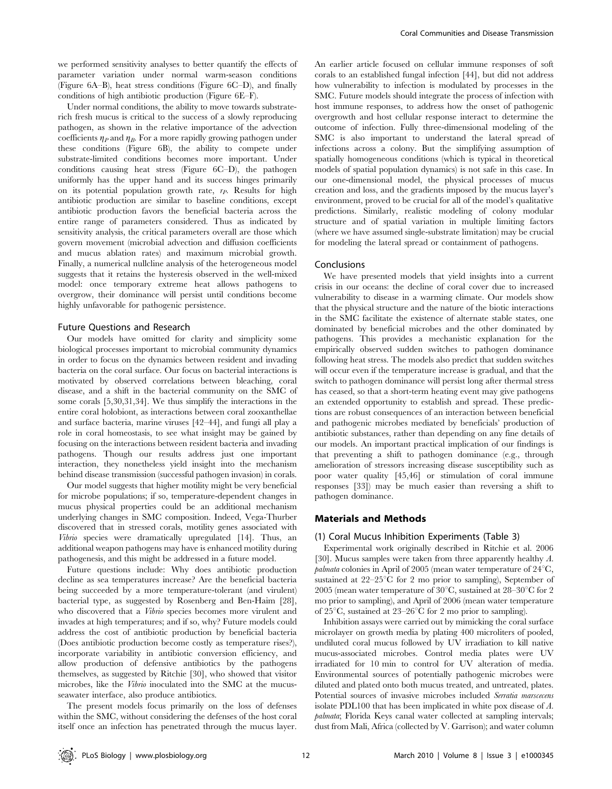we performed sensitivity analyses to better quantify the effects of parameter variation under normal warm-season conditions (Figure 6A–B), heat stress conditions (Figure 6C–D), and finally conditions of high antibiotic production (Figure 6E–F).

Under normal conditions, the ability to move towards substraterich fresh mucus is critical to the success of a slowly reproducing pathogen, as shown in the relative importance of the advection coefficients  $\eta_P$  and  $\eta_B$ . For a more rapidly growing pathogen under these conditions (Figure 6B), the ability to compete under substrate-limited conditions becomes more important. Under conditions causing heat stress (Figure 6C–D), the pathogen uniformly has the upper hand and its success hinges primarily on its potential population growth rate,  $r_P$ . Results for high antibiotic production are similar to baseline conditions, except antibiotic production favors the beneficial bacteria across the entire range of parameters considered. Thus as indicated by sensitivity analysis, the critical parameters overall are those which govern movement (microbial advection and diffusion coefficients and mucus ablation rates) and maximum microbial growth. Finally, a numerical nullcline analysis of the heterogeneous model suggests that it retains the hysteresis observed in the well-mixed model: once temporary extreme heat allows pathogens to overgrow, their dominance will persist until conditions become highly unfavorable for pathogenic persistence.

#### Future Questions and Research

Our models have omitted for clarity and simplicity some biological processes important to microbial community dynamics in order to focus on the dynamics between resident and invading bacteria on the coral surface. Our focus on bacterial interactions is motivated by observed correlations between bleaching, coral disease, and a shift in the bacterial community on the SMC of some corals [5,30,31,34]. We thus simplify the interactions in the entire coral holobiont, as interactions between coral zooxanthellae and surface bacteria, marine viruses [42–44], and fungi all play a role in coral homeostasis, to see what insight may be gained by focusing on the interactions between resident bacteria and invading pathogens. Though our results address just one important interaction, they nonetheless yield insight into the mechanism behind disease transmission (successful pathogen invasion) in corals.

Our model suggests that higher motility might be very beneficial for microbe populations; if so, temperature-dependent changes in mucus physical properties could be an additional mechanism underlying changes in SMC composition. Indeed, Vega-Thurber discovered that in stressed corals, motility genes associated with Vibrio species were dramatically upregulated [14]. Thus, an additional weapon pathogens may have is enhanced motility during pathogenesis, and this might be addressed in a future model.

Future questions include: Why does antibiotic production decline as sea temperatures increase? Are the beneficial bacteria being succeeded by a more temperature-tolerant (and virulent) bacterial type, as suggested by Rosenberg and Ben-Haim [28], who discovered that a *Vibrio* species becomes more virulent and invades at high temperatures; and if so, why? Future models could address the cost of antibiotic production by beneficial bacteria (Does antibiotic production become costly as temperature rises?), incorporate variability in antibiotic conversion efficiency, and allow production of defensive antibiotics by the pathogens themselves, as suggested by Ritchie [30], who showed that visitor microbes, like the Vibrio inoculated into the SMC at the mucusseawater interface, also produce antibiotics.

The present models focus primarily on the loss of defenses within the SMC, without considering the defenses of the host coral itself once an infection has penetrated through the mucus layer.

An earlier article focused on cellular immune responses of soft corals to an established fungal infection [44], but did not address how vulnerability to infection is modulated by processes in the SMC. Future models should integrate the process of infection with host immune responses, to address how the onset of pathogenic overgrowth and host cellular response interact to determine the outcome of infection. Fully three-dimensional modeling of the SMC is also important to understand the lateral spread of infections across a colony. But the simplifying assumption of spatially homogeneous conditions (which is typical in theoretical models of spatial population dynamics) is not safe in this case. In our one-dimensional model, the physical processes of mucus creation and loss, and the gradients imposed by the mucus layer's environment, proved to be crucial for all of the model's qualitative predictions. Similarly, realistic modeling of colony modular structure and of spatial variation in multiple limiting factors (where we have assumed single-substrate limitation) may be crucial for modeling the lateral spread or containment of pathogens.

### Conclusions

We have presented models that yield insights into a current crisis in our oceans: the decline of coral cover due to increased vulnerability to disease in a warming climate. Our models show that the physical structure and the nature of the biotic interactions in the SMC facilitate the existence of alternate stable states, one dominated by beneficial microbes and the other dominated by pathogens. This provides a mechanistic explanation for the empirically observed sudden switches to pathogen dominance following heat stress. The models also predict that sudden switches will occur even if the temperature increase is gradual, and that the switch to pathogen dominance will persist long after thermal stress has ceased, so that a short-term heating event may give pathogens an extended opportunity to establish and spread. These predictions are robust consequences of an interaction between beneficial and pathogenic microbes mediated by beneficials' production of antibiotic substances, rather than depending on any fine details of our models. An important practical implication of our findings is that preventing a shift to pathogen dominance (e.g., through amelioration of stressors increasing disease susceptibility such as poor water quality [45,46] or stimulation of coral immune responses [33]) may be much easier than reversing a shift to pathogen dominance.

# Materials and Methods

#### (1) Coral Mucus Inhibition Experiments (Table 3)

Experimental work originally described in Ritchie et al. 2006 [30]. Mucus samples were taken from three apparently healthy A. palmata colonies in April of 2005 (mean water temperature of  $24^{\circ}$ C, sustained at  $22-25^{\circ}$ C for 2 mo prior to sampling), September of 2005 (mean water temperature of  $30^{\circ}$ C, sustained at  $28-30^{\circ}$ C for 2 mo prior to sampling), and April of 2006 (mean water temperature of  $25^{\circ}$ C, sustained at  $23-26^{\circ}$ C for 2 mo prior to sampling).

Inhibition assays were carried out by mimicking the coral surface microlayer on growth media by plating 400 microliters of pooled, undiluted coral mucus followed by UV irradiation to kill native mucus-associated microbes. Control media plates were UV irradiated for 10 min to control for UV alteration of media. Environmental sources of potentially pathogenic microbes were diluted and plated onto both mucus treated, and untreated, plates. Potential sources of invasive microbes included Serratia marscecens isolate PDL100 that has been implicated in white pox disease of A. palmata; Florida Keys canal water collected at sampling intervals; dust from Mali, Africa (collected by V. Garrison); and water column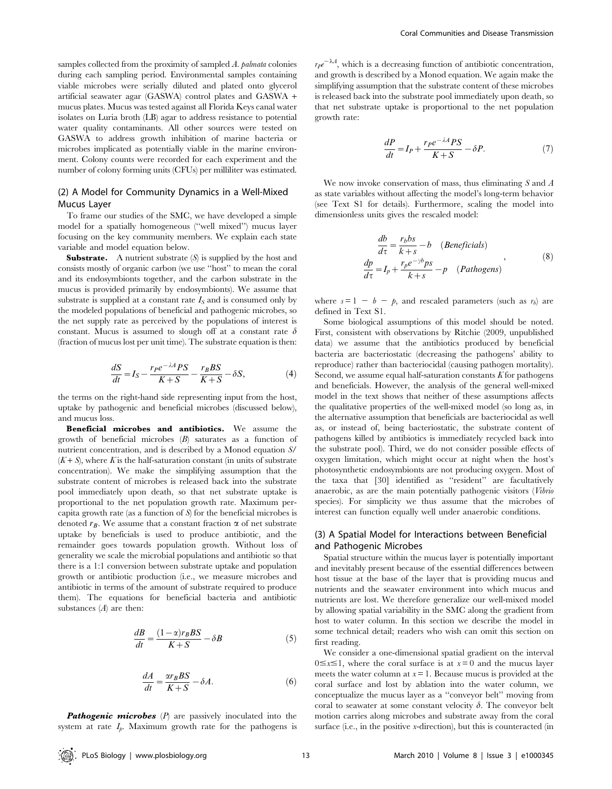samples collected from the proximity of sampled A. palmata colonies during each sampling period. Environmental samples containing viable microbes were serially diluted and plated onto glycerol artificial seawater agar (GASWA) control plates and GASWA + mucus plates. Mucus was tested against all Florida Keys canal water isolates on Luria broth (LB) agar to address resistance to potential water quality contaminants. All other sources were tested on GASWA to address growth inhibition of marine bacteria or microbes implicated as potentially viable in the marine environment. Colony counts were recorded for each experiment and the number of colony forming units (CFUs) per milliliter was estimated.

# (2) A Model for Community Dynamics in a Well-Mixed Mucus Layer

To frame our studies of the SMC, we have developed a simple model for a spatially homogeneous (''well mixed'') mucus layer focusing on the key community members. We explain each state variable and model equation below.

**Substrate.** A nutrient substrate  $(S)$  is supplied by the host and consists mostly of organic carbon (we use ''host'' to mean the coral and its endosymbionts together, and the carbon substrate in the mucus is provided primarily by endosymbionts). We assume that substrate is supplied at a constant rate  $I_S$  and is consumed only by the modeled populations of beneficial and pathogenic microbes, so the net supply rate as perceived by the populations of interest is constant. Mucus is assumed to slough off at a constant rate  $\delta$ (fraction of mucus lost per unit time). The substrate equation is then:

$$
\frac{dS}{dt} = I_S - \frac{r_P e^{-\lambda A} PS}{K + S} - \frac{r_B BS}{K + S} - \delta S,\tag{4}
$$

the terms on the right-hand side representing input from the host, uptake by pathogenic and beneficial microbes (discussed below), and mucus loss.

Beneficial microbes and antibiotics. We assume the growth of beneficial microbes (B) saturates as a function of nutrient concentration, and is described by a Monod equation S/  $(K + S)$ , where K is the half-saturation constant (in units of substrate concentration). We make the simplifying assumption that the substrate content of microbes is released back into the substrate pool immediately upon death, so that net substrate uptake is proportional to the net population growth rate. Maximum percapita growth rate (as a function of S) for the beneficial microbes is denoted  $r_B$ . We assume that a constant fraction  $\alpha$  of net substrate uptake by beneficials is used to produce antibiotic, and the remainder goes towards population growth. Without loss of generality we scale the microbial populations and antibiotic so that there is a 1:1 conversion between substrate uptake and population growth or antibiotic production (i.e., we measure microbes and antibiotic in terms of the amount of substrate required to produce them). The equations for beneficial bacteria and antibiotic substances  $(A)$  are then:

$$
\frac{dB}{dt} = \frac{(1 - \alpha)r_BBS}{K + S} - \delta B\tag{5}
$$

$$
\frac{dA}{dt} = \frac{\alpha r_B BS}{K + S} - \delta A.
$$
\n(6)

**Pathogenic microbes**  $(P)$  are passively inoculated into the system at rate  $I_p$ . Maximum growth rate for the pathogens is

 $r_{\text{P}}e^{-\lambda A}$ , which is a decreasing function of antibiotic concentration, and growth is described by a Monod equation. We again make the simplifying assumption that the substrate content of these microbes is released back into the substrate pool immediately upon death, so that net substrate uptake is proportional to the net population growth rate:

$$
\frac{dP}{dt} = I_P + \frac{r_P e^{-\lambda A} PS}{K + S} - \delta P.
$$
\n(7)

We now invoke conservation of mass, thus eliminating  $S$  and  $A$ as state variables without affecting the model's long-term behavior (see Text S1 for details). Furthermore, scaling the model into dimensionless units gives the rescaled model:

$$
\frac{db}{d\tau} = \frac{r_b bs}{k+s} - b \quad (Benerlicials)
$$
\n
$$
\frac{dp}{d\tau} = I_p + \frac{r_p e^{-\gamma b} ps}{k+s} - p \quad (Pathogens)
$$
\n(8)

where  $s = 1 - b - p$ , and rescaled parameters (such as  $r_b$ ) are defined in Text S1.

Some biological assumptions of this model should be noted. First, consistent with observations by Ritchie (2009, unpublished data) we assume that the antibiotics produced by beneficial bacteria are bacteriostatic (decreasing the pathogens' ability to reproduce) rather than bacteriocidal (causing pathogen mortality). Second, we assume equal half-saturation constants  $K$  for pathogens and beneficials. However, the analysis of the general well-mixed model in the text shows that neither of these assumptions affects the qualitative properties of the well-mixed model (so long as, in the alternative assumption that beneficials are bacteriocidal as well as, or instead of, being bacteriostatic, the substrate content of pathogens killed by antibiotics is immediately recycled back into the substrate pool). Third, we do not consider possible effects of oxygen limitation, which might occur at night when the host's photosynthetic endosymbionts are not producing oxygen. Most of the taxa that [30] identified as ''resident'' are facultatively anaerobic, as are the main potentially pathogenic visitors (Vibrio species). For simplicity we thus assume that the microbes of interest can function equally well under anaerobic conditions.

# (3) A Spatial Model for Interactions between Beneficial and Pathogenic Microbes

Spatial structure within the mucus layer is potentially important and inevitably present because of the essential differences between host tissue at the base of the layer that is providing mucus and nutrients and the seawater environment into which mucus and nutrients are lost. We therefore generalize our well-mixed model by allowing spatial variability in the SMC along the gradient from host to water column. In this section we describe the model in some technical detail; readers who wish can omit this section on first reading.

We consider a one-dimensional spatial gradient on the interval  $0 \le x \le 1$ , where the coral surface is at  $x = 0$  and the mucus layer meets the water column at  $x = 1$ . Because mucus is provided at the coral surface and lost by ablation into the water column, we conceptualize the mucus layer as a ''conveyor belt'' moving from coral to seawater at some constant velocity  $\delta$ . The conveyor belt motion carries along microbes and substrate away from the coral surface (i.e., in the positive x-direction), but this is counteracted (in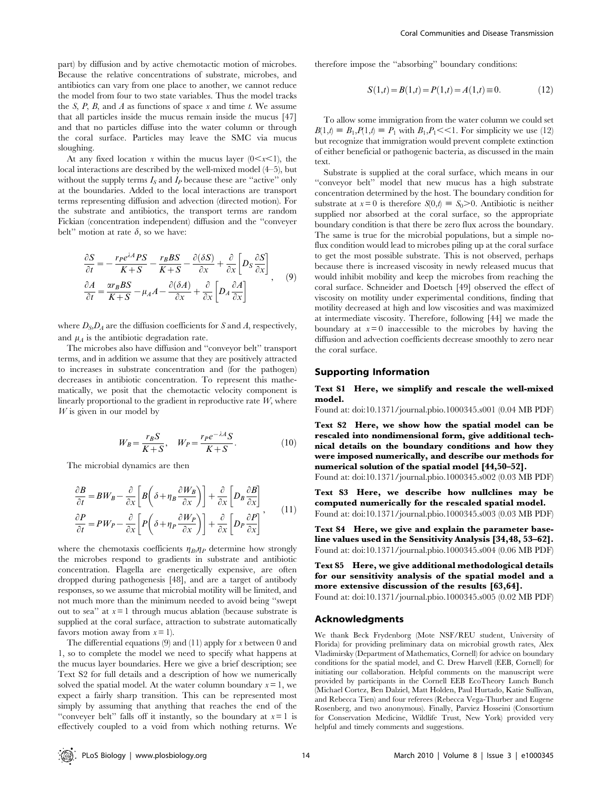part) by diffusion and by active chemotactic motion of microbes. Because the relative concentrations of substrate, microbes, and antibiotics can vary from one place to another, we cannot reduce the model from four to two state variables. Thus the model tracks the S, P, B, and A as functions of space  $x$  and time t. We assume that all particles inside the mucus remain inside the mucus [47] and that no particles diffuse into the water column or through the coral surface. Particles may leave the SMC via mucus sloughing.

At any fixed location x within the mucus layer  $(0 < x < 1)$ , the local interactions are described by the well-mixed model (4–5), but without the supply terms  $I_S$  and  $I_P$  because these are "active" only at the boundaries. Added to the local interactions are transport terms representing diffusion and advection (directed motion). For the substrate and antibiotics, the transport terms are random Fickian (concentration independent) diffusion and the ''conveyer belt" motion at rate  $\delta$ , so we have:

$$
\frac{\partial S}{\partial t} = -\frac{r_P e^{\lambda A} PS}{K + S} - \frac{r_B BS}{K + S} - \frac{\partial (\delta S)}{\partial x} + \frac{\partial}{\partial x} \left[ D_S \frac{\partial S}{\partial x} \right] \n\frac{\partial A}{\partial t} = \frac{\alpha r_B BS}{K + S} - \mu_A A - \frac{\partial (\delta A)}{\partial x} + \frac{\partial}{\partial x} \left[ D_A \frac{\partial A}{\partial x} \right]
$$
\n(9)

where  $D_S$ ,  $D_A$  are the diffusion coefficients for S and A, respectively, and  $\mu_A$  is the antibiotic degradation rate.

The microbes also have diffusion and ''conveyor belt'' transport terms, and in addition we assume that they are positively attracted to increases in substrate concentration and (for the pathogen) decreases in antibiotic concentration. To represent this mathematically, we posit that the chemotactic velocity component is linearly proportional to the gradient in reproductive rate  $W$ , where  $W$  is given in our model by

$$
W_B = \frac{r_B S}{K+S}, \quad W_P = \frac{r_P e^{-\lambda A} S}{K+S}.
$$
 (10)

The microbial dynamics are then

$$
\frac{\partial B}{\partial t} = BW_B - \frac{\partial}{\partial x} \left[ B \left( \delta + \eta_B \frac{\partial W_B}{\partial x} \right) \right] + \frac{\partial}{\partial x} \left[ D_B \frac{\partial B}{\partial x} \right]
$$

$$
\frac{\partial P}{\partial t} = PW_P - \frac{\partial}{\partial x} \left[ P \left( \delta + \eta_P \frac{\partial W_P}{\partial x} \right) \right] + \frac{\partial}{\partial x} \left[ D_P \frac{\partial P}{\partial x} \right], \tag{11}
$$

where the chemotaxis coefficients  $\eta_B, \eta_P$  determine how strongly the microbes respond to gradients in substrate and antibiotic concentration. Flagella are energetically expensive, are often dropped during pathogenesis [48], and are a target of antibody responses, so we assume that microbial motility will be limited, and not much more than the minimum needed to avoid being ''swept out to sea" at  $x=1$  through mucus ablation (because substrate is supplied at the coral surface, attraction to substrate automatically favors motion away from  $x = 1$ .

The differential equations  $(9)$  and  $(11)$  apply for x between 0 and 1, so to complete the model we need to specify what happens at the mucus layer boundaries. Here we give a brief description; see Text S2 for full details and a description of how we numerically solved the spatial model. At the water column boundary  $x = 1$ , we expect a fairly sharp transition. This can be represented most simply by assuming that anything that reaches the end of the "conveyer belt" falls off it instantly, so the boundary at  $x=1$  is effectively coupled to a void from which nothing returns. We

therefore impose the ''absorbing'' boundary conditions:

$$
S(1,t) = B(1,t) = P(1,t) = A(1,t) \equiv 0.
$$
 (12)

To allow some immigration from the water column we could set  $B(1,t) \equiv B_1, P(1,t) \equiv P_1$  with  $B_1, P_1 \ll 1$ . For simplicity we use (12) but recognize that immigration would prevent complete extinction of either beneficial or pathogenic bacteria, as discussed in the main text.

Substrate is supplied at the coral surface, which means in our ''conveyor belt'' model that new mucus has a high substrate concentration determined by the host. The boundary condition for substrate at  $x=0$  is therefore  $S(0,t) \equiv S_0 > 0$ . Antibiotic is neither supplied nor absorbed at the coral surface, so the appropriate boundary condition is that there be zero flux across the boundary. The same is true for the microbial populations, but a simple noflux condition would lead to microbes piling up at the coral surface to get the most possible substrate. This is not observed, perhaps because there is increased viscosity in newly released mucus that would inhibit mobility and keep the microbes from reaching the coral surface. Schneider and Doetsch [49] observed the effect of viscosity on motility under experimental conditions, finding that motility decreased at high and low viscosities and was maximized at intermediate viscosity. Therefore, following [44] we made the boundary at  $x = 0$  inaccessible to the microbes by having the diffusion and advection coefficients decrease smoothly to zero near the coral surface.

#### Supporting Information

#### Text S1 Here, we simplify and rescale the well-mixed model.

Found at: doi:10.1371/journal.pbio.1000345.s001 (0.04 MB PDF)

Text S2 Here, we show how the spatial model can be rescaled into nondimensional form, give additional technical details on the boundary conditions and how they were imposed numerically, and describe our methods for numerical solution of the spatial model [44,50–52].

Found at: doi:10.1371/journal.pbio.1000345.s002 (0.03 MB PDF)

Text S3 Here, we describe how nullclines may be computed numerically for the rescaled spatial model. Found at: doi:10.1371/journal.pbio.1000345.s003 (0.03 MB PDF)

Text S4 Here, we give and explain the parameter baseline values used in the Sensitivity Analysis [34,48, 53–62]. Found at: doi:10.1371/journal.pbio.1000345.s004 (0.06 MB PDF)

Text S5 Here, we give additional methodological details for our sensitivity analysis of the spatial model and a more extensive discussion of the results [63,64].

Found at: doi:10.1371/journal.pbio.1000345.s005 (0.02 MB PDF)

#### Acknowledgments

We thank Beck Frydenborg (Mote NSF/REU student, University of Florida) for providing preliminary data on microbial growth rates, Alex Vladimirsky (Department of Mathematics, Cornell) for advice on boundary conditions for the spatial model, and C. Drew Harvell (EEB, Cornell) for initiating our collaboration. Helpful comments on the manuscript were provided by participants in the Cornell EEB EcoTheory Lunch Bunch (Michael Cortez, Ben Dalziel, Matt Holden, Paul Hurtado, Katie Sullivan, and Rebecca Tien) and four referees (Rebecca Vega-Thurber and Eugene Rosenberg, and two anonymous). Finally, Parviez Hosseini (Consortium for Conservation Medicine, Wildlife Trust, New York) provided very helpful and timely comments and suggestions.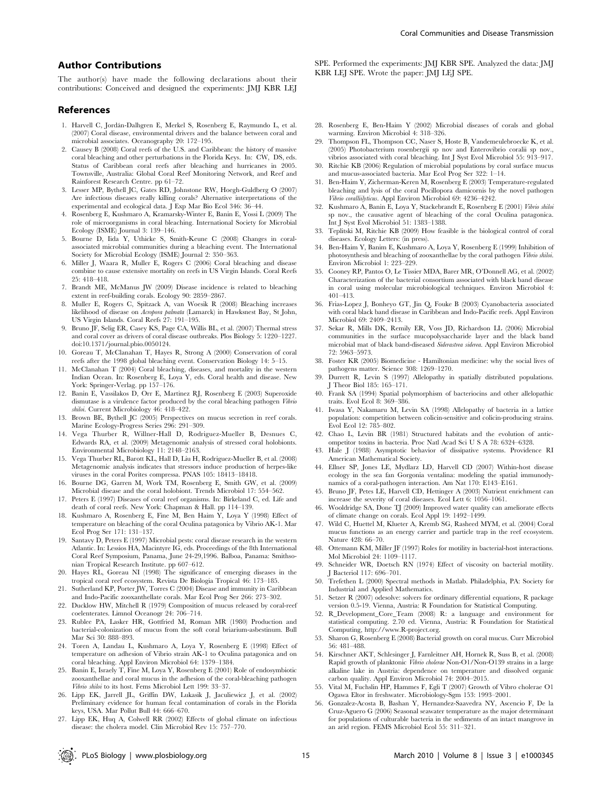# Author Contributions

The author(s) have made the following declarations about their contributions: Conceived and designed the experiments: JMJ KBR LEJ

#### References

- 1. Harvell C, Jorda´n-Dalhgren E, Merkel S, Rosenberg E, Raymundo L, et al. (2007) Coral disease, environmental drivers and the balance between coral and microbial associates. Oceanography 20: 172–195.
- 2. Causey B (2008) Coral reefs of the U.S. and Caribbean: the history of massive coral bleaching and other perturbations in the Florida Keys. In: CW, DS, eds. Status of Caribbean coral reefs after bleaching and hurricanes in 2005. Townsville, Australia: Global Coral Reef Monitoring Network, and Reef and Rainforest Research Centre. pp 61–72.
- 3. Lesser MP, Bythell JC, Gates RD, Johnstone RW, Hoegh-Guldberg O (2007) Are infectious diseases really killing corals? Alternative interpretations of the experimental and ecological data. J Exp Mar Bio Ecol 346: 36–44.
- 4. Rosenberg E, Kushmaro A, Kramarsky-Winter E, Banin E, Yossi L (2009) The role of microorganisms in coral bleaching. International Society for Microbial Ecology (ISME) Journal 3: 139–146.
- 5. Bourne D, Iida Y, Uthicke S, Smith-Keune C (2008) Changes in coralassociated microbial communities during a bleaching event. The International Society for Microbial Ecology (ISME) Journal 2: 350-363.
- 6. Miller J, Waara R, Muller E, Rogers C (2006) Coral bleaching and disease combine to cause extensive mortality on reefs in US Virgin Islands. Coral Reefs 25: 418–418.
- 7. Brandt ME, McManus JW (2009) Disease incidence is related to bleaching extent in reef-building corals. Ecology 90: 2859–2867.
- 8. Muller E, Rogers C, Spitzack A, van Woesik R (2008) Bleaching increases likelihood of disease on Acropora palmata (Lamarck) in Hawksnest Bay, St John, US Virgin Islands. Coral Reefs 27: 191–195.
- 9. Bruno JF, Selig ER, Casey KS, Page CA, Willis BL, et al. (2007) Thermal stress and coral cover as drivers of coral disease outbreaks. Plos Biology 5: 1220–1227. doi:10.1371/journal.pbio.0050124.
- 10. Goreau T, McClanahan T, Hayes R, Strong A (2000) Conservation of coral reefs after the 1998 global bleaching event. Conservation Biology 14: 5–15.
- 11. McClanahan T (2004) Coral bleaching, diseases, and mortality in the western Indian Ocean. In: Rosenberg E, Loya Y, eds. Coral health and disease. New York: Springer-Verlag. pp 157–176.
- 12. Banin E, Vassilakos D, Orr E, Martinez RJ, Rosenberg E (2003) Superoxide dismutase is a virulence factor produced by the coral bleaching pathogen Vibrio shiloi. Current Microbiology 46: 418-422.
- 13. Brown BE, Bythell JC (2005) Perspectives on mucus secretion in reef corals. Marine Ecology-Progress Series 296: 291–309.
- 14. Vega Thurber R, Willner-Hall D, Rodriguez-Mueller B, Desnues C, Edwards RA, et al. (2009) Metagenomic analysis of stressed coral holobionts. Environmental Microbiology 11: 2148–2163.
- 15. Vega Thurber RL, Barott KL, Hall D, Liu H, Rodriguez-Mueller B, et al. (2008) Metagenomic analysis indicates that stressors induce production of herpes-like viruses in the coral Porites compressa. PNAS 105: 18413–18418.
- 16. Bourne DG, Garren M, Work TM, Rosenberg E, Smith GW, et al. (2009) Microbial disease and the coral holobiont. Trends Microbiol 17: 554–562.
- 17. Peters E (1997) Diseases of coral reef organisms. In: Birkeland C, ed. Life and death of coral reefs. New York: Chapman & Hall. pp 114–139.
- 18. Kushmaro A, Rosenberg E, Fine M, Ben Haim Y, Loya Y (1998) Effect of temperature on bleaching of the coral Oculina patagonica by Vibrio AK-1. Mar Ecol Prog Ser 171: 131–137.
- 19. Santavy D, Peters E (1997) Microbial pests: coral disease research in the western Atlantic. In: Lessios HA, Macintyre IG, eds. Proceedings of the 8th International Coral Reef Symposium, Panama, June 24-29,1996. Balboa, Panama: Smithsonian Tropical Research Institute. pp 607–612.
- 20. Hayes RL, Goreau NI (1998) The significance of emerging diseases in the tropical coral reef ecosystem. Revista De Biologia Tropical 46: 173–185.
- 21. Sutherland KP, Porter JW, Torres C (2004) Disease and immunity in Caribbean and Indo-Pacific zooxanthellate corals. Mar Ecol Prog Ser 266: 273–302.
- 22. Ducklow HW, Mitchell R (1979) Composition of mucus released by coral-reef coelenterates. Limnol Oceanogr 24: 706–714.
- 23. Rublee PA, Lasker HR, Gottfried M, Roman MR (1980) Production and bacterial-colonization of mucus from the soft coral briarium-asbestinum. Bull Mar Sci 30: 888–893.
- 24. Toren A, Landau L, Kushmaro A, Loya Y, Rosenberg E (1998) Effect of temperature on adhesion of Vibrio strain AK-1 to Oculina patagonica and on coral bleaching. Appl Environ Microbiol 64: 1379–1384.
- 25. Banin E, Israely T, Fine M, Loya Y, Rosenberg E (2001) Role of endosymbiotic zooxanthellae and coral mucus in the adhesion of the coral-bleaching pathogen Vibrio shiloi to its host. Fems Microbiol Lett 199: 33–37.
- 26. Lipp EK, Jarrell JL, Griffin DW, Lukasik J, Jaculiewicz J, et al. (2002) Preliminary evidence for human fecal contamination of corals in the Florida keys, USA. Mar Pollut Bull 44: 666–670.
- 27. Lipp EK, Huq A, Colwell RR (2002) Effects of global climate on infectious disease: the cholera model. Clin Microbiol Rev 15: 757–770.

SPE. Performed the experiments: JMJ KBR SPE. Analyzed the data: JMJ KBR LEJ SPE. Wrote the paper: JMJ LEJ SPE.

- 28. Rosenberg E, Ben-Haim Y (2002) Microbial diseases of corals and global warming. Environ Microbiol 4: 318–326.
- 29. Thompson FL, Thompson CC, Naser S, Hoste B, Vandemeulebroecke K, et al. (2005) Photobacterium rosenbergii sp nov and Enterovibrio coralii sp nov., vibrios associated with coral bleaching. Int J Syst Evol Microbiol 55: 913–917.
- 30. Ritchie KB (2006) Regulation of microbial populations by coral surface mucus and mucus-associated bacteria. Mar Ecol Prog Ser 322: 1–14.
- 31. Ben-Haim Y, Zicherman-Keren M, Rosenberg E (2003) Temperature-regulated bleaching and lysis of the coral Pocillopora damicornis by the novel pathogen Vibrio coralliilyticus. Appl Environ Microbiol 69: 4236–4242.
- 32. Kushmaro A, Banin E, Loya Y, Stackebrandt E, Rosenberg E (2001) Vibrio shiloi sp nov., the causative agent of bleaching of the coral Oculina patagonica. Int J Syst Evol Microbiol 51: 1383–1388.
- 33. Teplitski M, Ritchie KB (2009) How feasible is the biological control of coral diseases. Ecology Letters: (in press).
- 34. Ben-Haim Y, Banim E, Kushmaro A, Loya Y, Rosenberg E (1999) Inhibition of photosynthesis and bleaching of zooxanthellae by the coral pathogen Vibrio shiloi. Environ Microbiol 1: 223–229.
- 35. Cooney RP, Pantos O, Le Tissier MDA, Barer MR, O'Donnell AG, et al. (2002) Characterization of the bacterial consortium associated with black band disease in coral using molecular microbiological techniques. Environ Microbiol 4: 401–413.
- 36. Frias-Lopez J, Bonheyo GT, Jin Q, Fouke B (2003) Cyanobacteria associated with coral black band disease in Caribbean and Indo-Pacific reefs. Appl Environ Microbiol 69: 2409–2413.
- 37. Sekar R, Mills DK, Remily ER, Voss JD, Richardson LL (2006) Microbial communities in the surface mucopolysaccharide layer and the black band microbial mat of black band-diseased Siderastrea siderea. Appl Environ Microbiol 72: 5963–5973.
- 38. Foster KR (2005) Biomedicine Hamiltonian medicine: why the social lives of pathogens matter. Science 308: 1269–1270.
- 39. Durrett R, Levin S (1997) Allelopathy in spatially distributed populations. J Theor Biol 185: 165–171.
- 40. Frank SA (1994) Spatial polymorphism of bacteriocins and other allelopathic traits. Evol Ecol 8: 369–386.
- 41. Iwasa Y, Nakamaru M, Levin SA (1998) Allelopathy of bacteria in a lattice population: competition between colicin-sensitive and colicin-producing strains. Evol Ecol 12: 785–802.
- 42. Chao L, Levin BR (1981) Structured habitats and the evolution of anticompetitor toxins in bacteria. Proc Natl Acad Sci U S A 78: 6324–6328.
- 43. Hale J (1988) Asymptotic behavior of dissipative systems. Providence RI American Mathematical Society.
- 44. Ellner SP, Jones LE, Mydlarz LD, Harvell CD (2007) Within-host disease ecology in the sea fan Gorgonia ventalina: modeling the spatial immunodynamics of a coral-pathogen interaction. Am Nat 170: E143–E161.
- 45. Bruno JF, Petes LE, Harvell CD, Hettinger A (2003) Nutrient enrichment can increase the severity of coral diseases. Ecol Lett 6: 1056–1061.
- 46. Wooldridge SA, Done TJ (2009) Improved water quality can ameliorate effects of climate change on corals. Ecol Appl 19: 1492–1499.
- 47. Wild C, Huettel M, Klueter A, Kremb SG, Rasheed MYM, et al. (2004) Coral mucus functions as an energy carrier and particle trap in the reef ecosystem. Nature 428: 66–70.
- 48. Ottemann KM, Miller JF (1997) Roles for motility in bacterial-host interactions. Mol Microbiol 24: 1109–1117.
- 49. Schneider WR, Doetsch RN (1974) Effect of viscosity on bacterial motility. J Bacteriol 117: 696–701.
- 50. Trefethen L (2000) Spectral methods in Matlab. Philadelphia, PA: Society for Industrial and Applied Mathematics.
- 51. Setzer R (2007) odesolve: solvers for ordinary differential equations, R package version 0.5-19. Vienna, Austria: R Foundation for Statistical Computing.
- 52. R\_Development\_Core\_Team (2008) R: a language and environment for statistical computing. 2.70 ed. Vienna, Austria: R Foundation for Statistical Computing, http://www.R-project.org.
- 53. Sharon G, Rosenberg E (2008) Bacterial growth on coral mucus. Curr Microbiol 56: 481–488.
- 54. Kirschner AKT, Schlesinger J, Farnleitner AH, Hornek R, Suss B, et al. (2008) Rapid growth of planktonic Vibrio cholerae Non-O1/Non-O139 strains in a large alkaline lake in Austria: dependence on temperature and dissolved organic carbon quality. Appl Environ Microbiol 74: 2004–2015.
- 55. Vital M, Fuchslin HP, Hammes F, Egli T (2007) Growth of Vibro cholerae O1 Ogawa Eltor in freshwater. Microbiology-Sgm 153: 1993–2001.
- 56. Gonzalez-Acosta B, Bashan Y, Hernandez-Saavedra NY, Ascencio F, De la Cruz-Aguero G (2006) Seasonal seawater temperature as the major determinant for populations of culturable bacteria in the sediments of an intact mangrove in an arid region. FEMS Microbiol Ecol 55: 311–321.